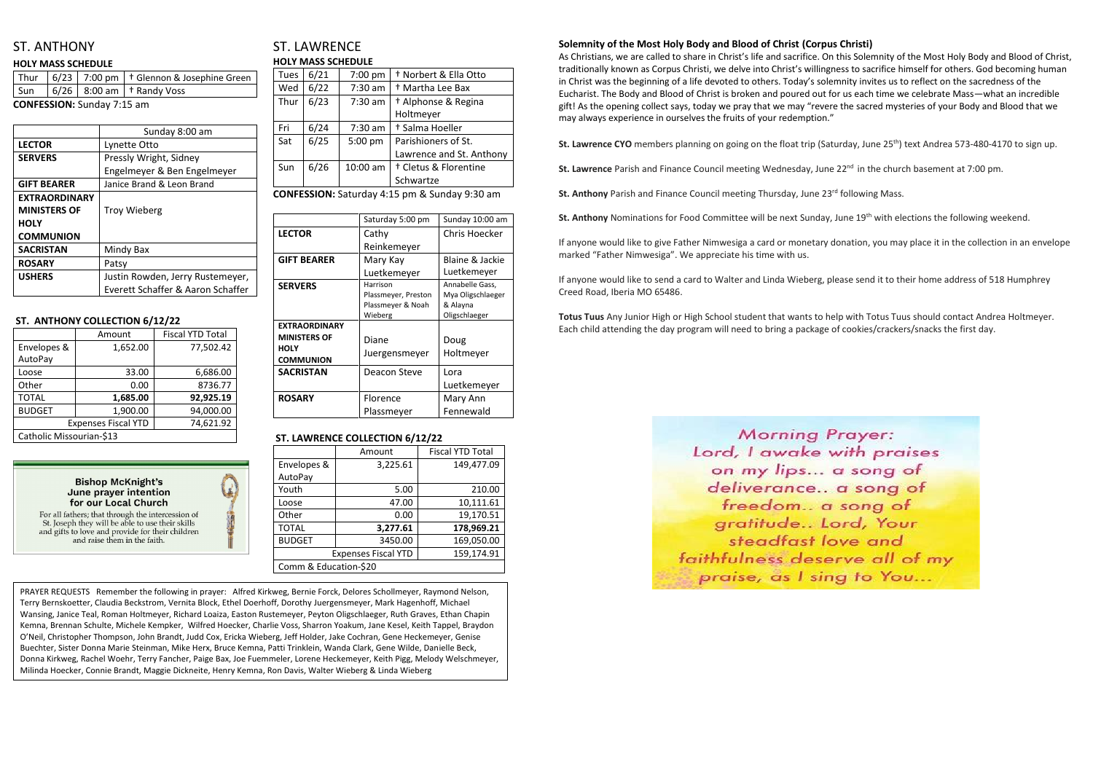# ST. ANTHONY

#### **HOLY MASS SCHEDULE**

|                                   |  |  | Thur   $6/23$   7:00 pm   $\dagger$ Glennon & Josephine Green |
|-----------------------------------|--|--|---------------------------------------------------------------|
|                                   |  |  | $\vert$ Sun $\vert$ 6/26 $\vert$ 8:00 am $\vert$ + Randy Voss |
| <b>CONFESSION:</b> Sunday 7:15 am |  |  |                                                               |

|                      | Sunday 8:00 am                    |  |
|----------------------|-----------------------------------|--|
| <b>LECTOR</b>        | Lynette Otto                      |  |
| <b>SERVERS</b>       | Pressly Wright, Sidney            |  |
|                      | Engelmeyer & Ben Engelmeyer       |  |
| <b>GIFT BEARER</b>   | Janice Brand & Leon Brand         |  |
| <b>EXTRAORDINARY</b> |                                   |  |
| <b>MINISTERS OF</b>  | <b>Troy Wieberg</b>               |  |
| <b>HOLY</b>          |                                   |  |
| <b>COMMUNION</b>     |                                   |  |
| <b>SACRISTAN</b>     | Mindy Bax                         |  |
| <b>ROSARY</b>        | Patsy                             |  |
| <b>USHERS</b>        | Justin Rowden, Jerry Rustemeyer,  |  |
|                      | Everett Schaffer & Aaron Schaffer |  |

#### **ST. ANTHONY COLLECTION 6/12/22**

|                            | Amount   | <b>Fiscal YTD Total</b> |  |
|----------------------------|----------|-------------------------|--|
| Envelopes &                | 1,652.00 | 77,502.42               |  |
| AutoPay                    |          |                         |  |
| Loose                      | 33.00    | 6,686.00                |  |
| Other                      | 0.00     | 8736.77                 |  |
| <b>TOTAL</b>               | 1,685.00 | 92,925.19               |  |
| <b>BUDGET</b>              | 1,900.00 | 94,000.00               |  |
| <b>Expenses Fiscal YTD</b> |          | 74,621.92               |  |
| Catholic Missourian-\$13   |          |                         |  |



For all fathers; that through the intercession of St. Joseph they will be able to use their skills and gifts to love and provide for their children and raise them in the faith.



# ST. LAWRENCE **HOLY MASS SCHEDULE**

| Tues | 6/21 | 7:00 pm   | <sup>†</sup> Norbert & Ella Otto |
|------|------|-----------|----------------------------------|
| Wed  | 6/22 | 7:30 am   | <sup>†</sup> Martha Lee Bax      |
| Thur | 6/23 | $7:30$ am | <sup>†</sup> Alphonse & Regina   |
|      |      |           | Holtmeyer                        |
| Fri  | 6/24 | $7:30$ am | † Salma Hoeller                  |
| Sat  | 6/25 | 5:00 pm   | Parishioners of St.              |
|      |      |           | Lawrence and St. Anthony         |
| Sun  | 6/26 | 10:00 am  | <sup>†</sup> Cletus & Florentine |
|      |      |           | Schwartze                        |
|      |      |           |                                  |

**CONFESSION:** Saturday 4:15 pm & Sunday 9:30 am

|                                 | Saturday 5:00 pm                         | Sunday 10:00 am               |
|---------------------------------|------------------------------------------|-------------------------------|
| <b>LECTOR</b>                   | Cathy                                    | Chris Hoecker                 |
|                                 | Reinkemeyer                              |                               |
| <b>GIFT BEARER</b>              | Mary Kay                                 | Blaine & Jackie               |
|                                 | Luetkemeyer                              | Luetkemeyer                   |
| <b>SERVERS</b>                  | Harrison                                 | Annabelle Gass,               |
|                                 | Plassmeyer, Preston<br>Plassmeyer & Noah | Mya Oligschlaeger<br>& Alayna |
|                                 | Wieberg                                  | Oligschlaeger                 |
| <b>EXTRAORDINARY</b>            |                                          |                               |
| <b>MINISTERS OF</b>             | Diane                                    | Doug                          |
| <b>HOLY</b><br><b>COMMUNION</b> | Juergensmeyer                            | Holtmeyer                     |
| <b>SACRISTAN</b>                | Deacon Steve                             | Lora                          |
|                                 |                                          | Luetkemeyer                   |
| <b>ROSARY</b>                   | Florence                                 | Mary Ann                      |
|                                 | Plassmeyer                               | Fennewald                     |

### **ST. LAWRENCE COLLECTION 6/12/22**

|                       | Amount                     | <b>Fiscal YTD Total</b> |  |
|-----------------------|----------------------------|-------------------------|--|
| Envelopes &           | 3,225.61                   | 149,477.09              |  |
| AutoPay               |                            |                         |  |
| Youth                 | 5.00                       | 210.00                  |  |
| Loose                 | 47.00                      | 10,111.61               |  |
| Other                 | 0.00                       | 19,170.51               |  |
| <b>TOTAL</b>          | 3,277.61                   | 178,969.21              |  |
| <b>BUDGET</b>         | 3450.00                    | 169,050.00              |  |
|                       | <b>Expenses Fiscal YTD</b> | 159,174.91              |  |
| Comm & Education-\$20 |                            |                         |  |

### **Solemnity of the Most Holy Body and Blood of Christ (Corpus Christi)**

As Christians, we are called to share in Christ's life and sacrifice. On this Solemnity of the Most Holy Body and Blood of Christ, traditionally known as Corpus Christi, we delve into Christ's willingness to sacrifice himself for others. God becoming human in Christ was the beginning of a life devoted to others. Today's solemnity invites us to reflect on the sacredness of the Eucharist. The Body and Blood of Christ is broken and poured out for us each time we celebrate Mass—what an incredible gift! As the opening collect says, today we pray that we may "revere the sacred mysteries of your Body and Blood that we may always experience in ourselves the fruits of your redemption."

**St. Lawrence CYO** members planning on going on the float trip (Saturday, June 25<sup>th</sup>) text Andrea 573-480-4170 to sign up.

**St. Lawrence** Parish and Finance Council meeting Wednesday, June 22<sup>nd</sup> in the church basement at 7:00 pm.

**St. Anthony** Parish and Finance Council meeting Thursday, June 23<sup>rd</sup> following Mass.

**St. Anthony** Nominations for Food Committee will be next Sunday, June 19th with elections the following weekend.

If anyone would like to give Father Nimwesiga a card or monetary donation, you may place it in the collection in an envelope marked "Father Nimwesiga". We appreciate his time with us.

If anyone would like to send a card to Walter and Linda Wieberg, please send it to their home address of 518 Humphrey Creed Road, Iberia MO 65486.

**Totus Tuus** Any Junior High or High School student that wants to help with Totus Tuus should contact Andrea Holtmeyer. Each child attending the day program will need to bring a package of cookies/crackers/snacks the first day.

> **Morning Prayer:** Lord, I awake with praises on my lips... a song of deliverance.. a song of freedom.. a song of gratitude.. Lord, Your steadfast love and faithfulness deserve all of my praise, as I sing to You...



PRAYER REQUESTS Remember the following in prayer: Alfred Kirkweg, Bernie Forck, Delores Schollmeyer, Raymond Nelson, Terry Bernskoetter, Claudia Beckstrom, Vernita Block, Ethel Doerhoff, Dorothy Juergensmeyer, Mark Hagenhoff, Michael Wansing, Janice Teal, Roman Holtmeyer, Richard Loaiza, Easton Rustemeyer, Peyton Oligschlaeger, Ruth Graves, Ethan Chapin Kemna, Brennan Schulte, Michele Kempker, Wilfred Hoecker, Charlie Voss, Sharron Yoakum, Jane Kesel, Keith Tappel, Braydon O'Neil, Christopher Thompson, John Brandt, Judd Cox, Ericka Wieberg, Jeff Holder, Jake Cochran, Gene Heckemeyer, Genise Buechter, Sister Donna Marie Steinman, Mike Herx, Bruce Kemna, Patti Trinklein, Wanda Clark, Gene Wilde, Danielle Beck, Donna Kirkweg, Rachel Woehr, Terry Fancher, Paige Bax, Joe Fuemmeler, Lorene Heckemeyer, Keith Pigg, Melody Welschmeyer, Milinda Hoecker, Connie Brandt, Maggie Dickneite, Henry Kemna, Ron Davis, Walter Wieberg & Linda Wieberg